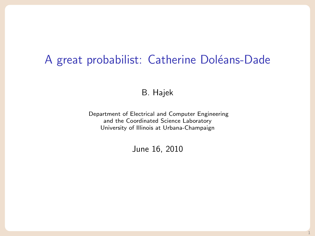# A great probabilist: Catherine Doléans-Dade

#### B. Hajek

Department of Electrical and Computer Engineering and the Coordinated Science Laboratory University of Illinois at Urbana-Champaign

June 16, 2010

1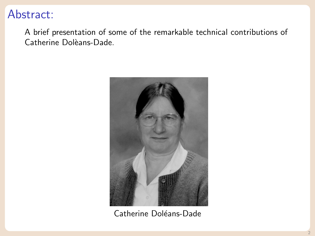# Abstract:

A brief presentation of some of the remarkable technical contributions of Catherine Dolèans-Dade.



Catherine Doléans-Dade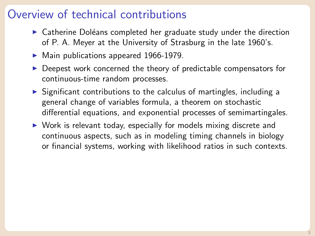## Overview of technical contributions

- $\triangleright$  Catherine Doléans completed her graduate study under the direction of P. A. Meyer at the University of Strasburg in the late 1960's.
- $\blacktriangleright$  Main publications appeared 1966-1979.
- $\triangleright$  Deepest work concerned the theory of predictable compensators for continuous-time random processes.
- $\triangleright$  Significant contributions to the calculus of martingles, including a general change of variables formula, a theorem on stochastic differential equations, and exponential processes of semimartingales.
- $\triangleright$  Work is relevant today, especially for models mixing discrete and continuous aspects, such as in modeling timing channels in biology or financial systems, working with likelihood ratios in such contexts.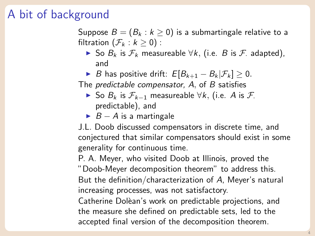# A bit of background

Suppose  $B = (B_k : k \ge 0)$  is a submartingale relative to a filtration  $(\mathcal{F}_k : k \geq 0)$ :

- ► So  $B_k$  is  $\mathcal{F}_k$  measureable  $\forall k$ , (i.e. *B* is *F*. adapted), and
- ► B has positive drift:  $E[B_{k+1} B_k | \mathcal{F}_k] \geq 0$ .

The *predictable compensator*, A, of B satisfies

- ► So  $B_k$  is  $\mathcal{F}_{k-1}$  measureable  $\forall k$ , (i.e. A is  $\mathcal{F}_k$ . predictable), and
- $\triangleright$  B A is a martingale

J.L. Doob discussed compensators in discrete time, and conjectured that similar compensators should exist in some generality for continuous time.

P. A. Meyer, who visited Doob at Illinois, proved the

"Doob-Meyer decomposition theorem" to address this. But the definition/characterization of A, Meyer's natural increasing processes, was not satisfactory.

Catherine Dolèan's work on predictable projections, and the measure she defined on predictable sets, led to the accepted final version of the decomposition theorem.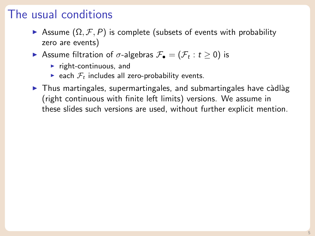# The usual conditions

- $\triangleright$  Assume (Ω, F, P) is complete (subsets of events with probability zero are events)
- $\blacktriangleright$  Assume filtration of  $σ$ -algebras  $\mathcal{F}_{\bullet} = (\mathcal{F}_{t} : t \geq 0)$  is
	- $\blacktriangleright$  right-continuous, and
	- each  $\mathcal{F}_t$  includes all zero-probability events.
- $\triangleright$  Thus martingales, supermartingales, and submartingales have càdlàg (right continuous with finite left limits) versions. We assume in these slides such versions are used, without further explicit mention.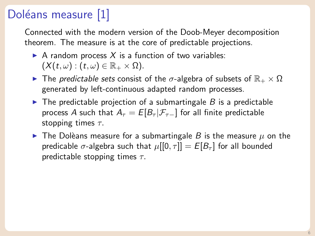# Doléans measure [\[1\]](#page-10-0)

Connected with the modern version of the Doob-Meyer decomposition theorem. The measure is at the core of predictable projections.

- A random process X is a function of two variables:  $(X(t, \omega): (t, \omega) \in \mathbb{R}_+ \times \Omega).$
- $\blacktriangleright$  The *predictable sets* consist of the *σ*-algebra of subsets of  $\mathbb{R}_+ \times \Omega$ generated by left-continuous adapted random processes.
- $\triangleright$  The predictable projection of a submartingale B is a predictable process A such that  $A_{\tau} = E[B_{\tau} | \mathcal{F}_{\tau-}]$  for all finite predictable stopping times  $\tau$ .
- $\triangleright$  The Dolèans measure for a submartingale B is the measure  $\mu$  on the predicable  $\sigma$ -algebra such that  $\mu[[0, \tau]] = E[B_{\tau}]$  for all bounded predictable stopping times  $\tau$ .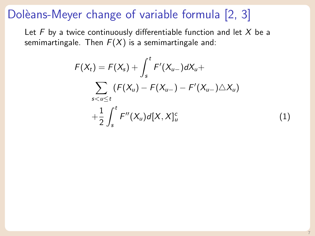# Dolèans-Meyer change of variable formula [\[2,](#page-10-1) [3\]](#page-10-2)

Let  $F$  by a twice continuously differentiable function and let  $X$  be a semimartingale. Then  $F(X)$  is a semimartingale and:

$$
F(X_t) = F(X_s) + \int_s^t F'(X_{u-})dX_u + \sum_{s < u \le t} (F(X_u) - F(X_{u-}) - F'(X_{u-}) \triangle X_u) + \frac{1}{2} \int_s^t F''(X_u) d[X, X]_u^c
$$
 (1)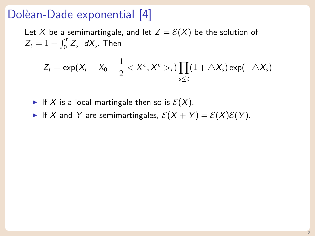### Dolèan-Dade exponential [\[4\]](#page-10-3)

Let X be a semimartingale, and let  $Z = \mathcal{E}(X)$  be the solution of  $Z_t = 1 + \int_0^t Z_{s-} dX_s$ . Then

$$
Z_t = \exp(X_t - X_0 - \frac{1}{2} < X^c, X^c >_t) \prod_{s \leq t} (1 + \triangle X_s) \exp(-\triangle X_s)
$$

If X is a local martingale then so is  $\mathcal{E}(X)$ .

If X and Y are semimartingales,  $\mathcal{E}(X + Y) = \mathcal{E}(X)\mathcal{E}(Y)$ .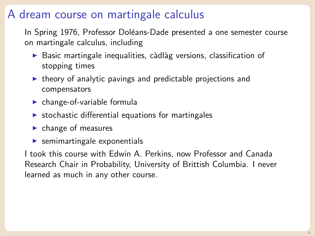# A dream course on martingale calculus

In Spring 1976, Professor Doléans-Dade presented a one semester course on martingale calculus, including

- $\triangleright$  Basic martingale inequalities, càdlàg versions, classification of stopping times
- $\triangleright$  theory of analytic pavings and predictable projections and compensators
- $\blacktriangleright$  change-of-variable formula
- $\triangleright$  stochastic differential equations for martingales
- $\blacktriangleright$  change of measures
- $\blacktriangleright$  semimartingale exponentials

I took this course with Edwin A. Perkins, now Professor and Canada Research Chair in Probability, University of Brittish Columbia. I never learned as much in any other course.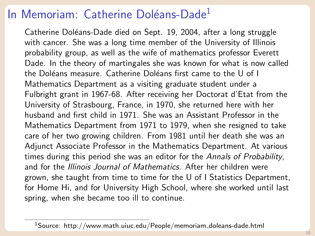# In Memoriam: Catherine Doléans-Dade<sup>1</sup>

Catherine Doléans-Dade died on Sept. 19, 2004, after a long struggle with cancer. She was a long time member of the University of Illinois probability group, as well as the wife of mathematics professor Everett Dade. In the theory of martingales she was known for what is now called the Doléans measure. Catherine Doléans first came to the U of I Mathematics Department as a visiting graduate student under a Fulbright grant in 1967-68. After receiving her Doctorat d'Etat from the University of Strasbourg, France, in 1970, she returned here with her husband and first child in 1971. She was an Assistant Professor in the Mathematics Department from 1971 to 1979, when she resigned to take care of her two growing children. From 1981 until her death she was an Adjunct Associate Professor in the Mathematics Department. At various times during this period she was an editor for the Annals of Probability, and for the Illinois Journal of Mathematics. After her children were grown, she taught from time to time for the U of I Statistics Department, for Home Hi, and for University High School, where she worked until last spring, when she became too ill to continue.

 $1$ Source: http://www.math.uiuc.edu/People/memoriam\_doleans-dade.html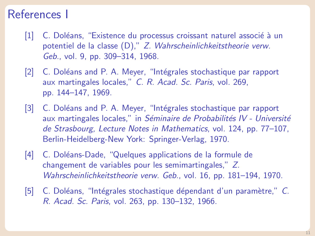#### References I

- <span id="page-10-0"></span>[1] C. Doléans, "Existence du processus croissant naturel associé à un potentiel de la classe (D)," Z. Wahrscheinlichkeitstheorie verw. Geb., vol. 9, pp. 309–314, 1968.
- <span id="page-10-1"></span>[2] C. Doléans and P. A. Meyer, "Intégrales stochastique par rapport aux martingales locales," C. R. Acad. Sc. Paris, vol. 269, pp. 144–147, 1969.
- <span id="page-10-2"></span>[3] C. Doléans and P. A. Meyer, "Intégrales stochastique par rapport aux martingales locales," in Séminaire de Probabilités IV - Université de Strasbourg, Lecture Notes in Mathematics, vol. 124, pp. 77–107, Berlin-Heidelberg-New York: Springer-Verlag, 1970.
- <span id="page-10-3"></span>[4] C. Doléans-Dade, "Quelques applications de la formule de changement de variables pour les semimartingales," Z. Wahrscheinlichkeitstheorie verw. Geb., vol. 16, pp. 181–194, 1970.
- [5] C. Doléans, "Intégrales stochastique dépendant d'un paramètre," C. R. Acad. Sc. Paris, vol. 263, pp. 130–132, 1966.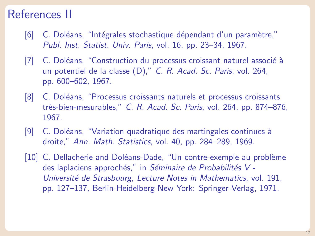#### References II

- [6] C. Doléans, "Intégrales stochastique dépendant d'un paramètre," Publ. Inst. Statist. Univ. Paris, vol. 16, pp. 23–34, 1967.
- [7] C. Doléans, "Construction du processus croissant naturel associé à un potentiel de la classe (D)," C. R. Acad. Sc. Paris, vol. 264, pp. 600–602, 1967.
- [8] C. Doléans, "Processus croissants naturels et processus croissants très-bien-mesurables," C. R. Acad. Sc. Paris, vol. 264, pp. 874–876, 1967.
- [9] C. Doléans, "Variation quadratique des martingales continues à droite," Ann. Math. Statistics, vol. 40, pp. 284–289, 1969.
- [10] C. Dellacherie and Doléans-Dade, "Un contre-exemple au problème des laplaciens approchés," in Séminaire de Probabilités V -Université de Strasbourg, Lecture Notes in Mathematics, vol. 191, pp. 127–137, Berlin-Heidelberg-New York: Springer-Verlag, 1971.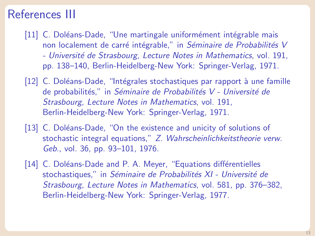#### References III

- [11] C. Doléans-Dade, "Une martingale uniformément intégrable mais non localement de carré intégrable," in Séminaire de Probabilités V - Université de Strasbourg, Lecture Notes in Mathematics, vol. 191, pp. 138–140, Berlin-Heidelberg-New York: Springer-Verlag, 1971.
- [12] C. Doléans-Dade, "Intégrales stochastiques par rapport à une famille de probabilités," in Séminaire de Probabilités V - Université de Strasbourg, Lecture Notes in Mathematics, vol. 191, Berlin-Heidelberg-New York: Springer-Verlag, 1971.
- [13] C. Doléans-Dade, "On the existence and unicity of solutions of stochastic integral equations," Z. Wahrscheinlichkeitstheorie verw. Geb., vol. 36, pp. 93–101, 1976.
- [14] C. Doléans-Dade and P. A. Meyer, "Equations différentielles stochastiques," in Séminaire de Probabilités XI - Université de Strasbourg, Lecture Notes in Mathematics, vol. 581, pp. 376–382, Berlin-Heidelberg-New York: Springer-Verlag, 1977.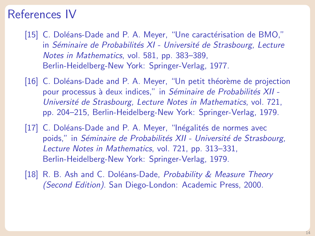#### References IV

- [15] C. Doléans-Dade and P. A. Meyer, "Une caractérisation de BMO," in Séminaire de Probabilités XI - Université de Strasbourg, Lecture Notes in Mathematics, vol. 581, pp. 383–389, Berlin-Heidelberg-New York: Springer-Verlag, 1977.
- [16] C. Doléans-Dade and P. A. Meyer, "Un petit théorème de projection pour processus à deux indices," in Séminaire de Probabilités XII -Université de Strasbourg, Lecture Notes in Mathematics, vol. 721, pp. 204–215, Berlin-Heidelberg-New York: Springer-Verlag, 1979.
- [17] C. Doléans-Dade and P. A. Meyer, "Inégalités de normes avec poids," in Séminaire de Probabilités XII - Université de Strasbourg, Lecture Notes in Mathematics, vol. 721, pp. 313–331, Berlin-Heidelberg-New York: Springer-Verlag, 1979.
- [18] R. B. Ash and C. Doléans-Dade, Probability & Measure Theory (Second Edition). San Diego-London: Academic Press, 2000.